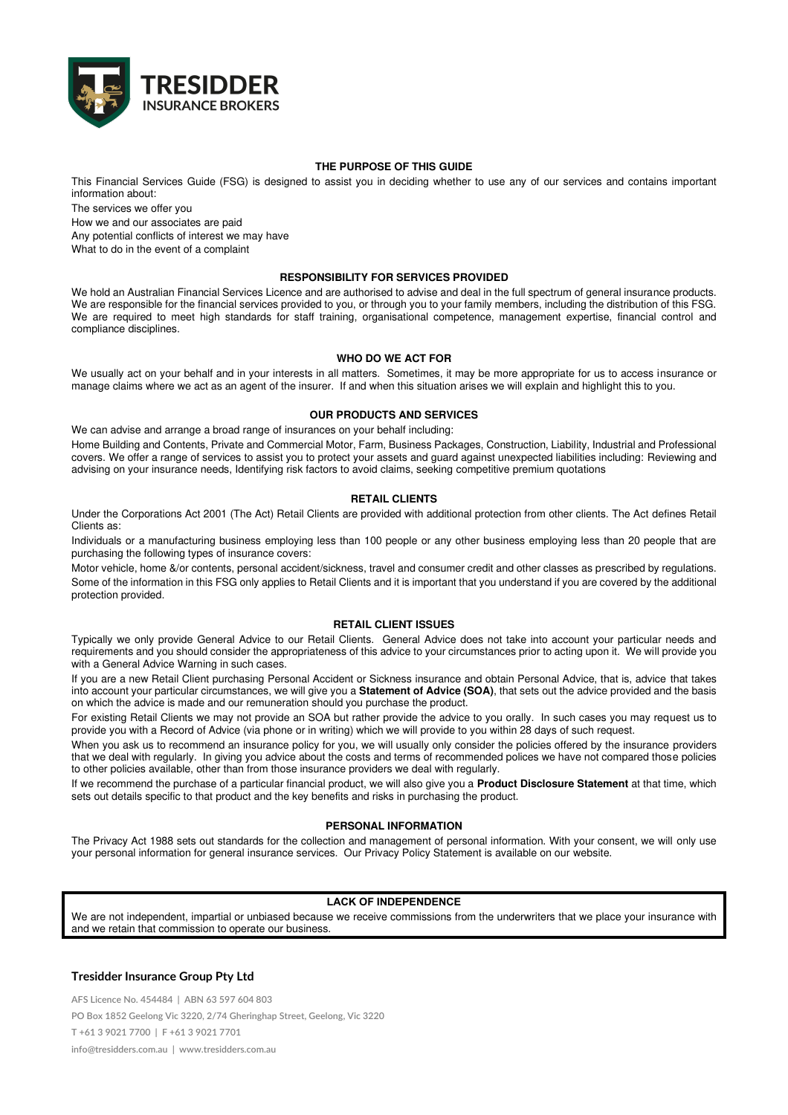

## **THE PURPOSE OF THIS GUIDE**

This Financial Services Guide (FSG) is designed to assist you in deciding whether to use any of our services and contains important information about:

The services we offer you

How we and our associates are paid

Any potential conflicts of interest we may have

What to do in the event of a complaint

### **RESPONSIBILITY FOR SERVICES PROVIDED**

We hold an Australian Financial Services Licence and are authorised to advise and deal in the full spectrum of general insurance products. We are responsible for the financial services provided to you, or through you to your family members, including the distribution of this FSG. We are required to meet high standards for staff training, organisational competence, management expertise, financial control and compliance disciplines.

## **WHO DO WE ACT FOR**

We usually act on your behalf and in your interests in all matters. Sometimes, it may be more appropriate for us to access insurance or manage claims where we act as an agent of the insurer. If and when this situation arises we will explain and highlight this to you.

### **OUR PRODUCTS AND SERVICES**

We can advise and arrange a broad range of insurances on your behalf including: Home Building and Contents, Private and Commercial Motor, Farm, Business Packages, Construction, Liability, Industrial and Professional covers. We offer a range of services to assist you to protect your assets and guard against unexpected liabilities including: Reviewing and advising on your insurance needs, Identifying risk factors to avoid claims, seeking competitive premium quotations

# **RETAIL CLIENTS**

Under the Corporations Act 2001 (The Act) Retail Clients are provided with additional protection from other clients. The Act defines Retail Clients as:

Individuals or a manufacturing business employing less than 100 people or any other business employing less than 20 people that are purchasing the following types of insurance covers:

Motor vehicle, home &/or contents, personal accident/sickness, travel and consumer credit and other classes as prescribed by regulations. Some of the information in this FSG only applies to Retail Clients and it is important that you understand if you are covered by the additional protection provided.

# **RETAIL CLIENT ISSUES**

Typically we only provide General Advice to our Retail Clients. General Advice does not take into account your particular needs and requirements and you should consider the appropriateness of this advice to your circumstances prior to acting upon it. We will provide you with a General Advice Warning in such cases.

If you are a new Retail Client purchasing Personal Accident or Sickness insurance and obtain Personal Advice, that is, advice that takes into account your particular circumstances, we will give you a **Statement of Advice (SOA)**, that sets out the advice provided and the basis on which the advice is made and our remuneration should you purchase the product.

For existing Retail Clients we may not provide an SOA but rather provide the advice to you orally. In such cases you may request us to provide you with a Record of Advice (via phone or in writing) which we will provide to you within 28 days of such request.

When you ask us to recommend an insurance policy for you, we will usually only consider the policies offered by the insurance providers that we deal with regularly. In giving you advice about the costs and terms of recommended polices we have not compared those policies to other policies available, other than from those insurance providers we deal with regularly.

If we recommend the purchase of a particular financial product, we will also give you a **Product Disclosure Statement** at that time, which sets out details specific to that product and the key benefits and risks in purchasing the product.

# **PERSONAL INFORMATION**

The Privacy Act 1988 sets out standards for the collection and management of personal information. With your consent, we will only use your personal information for general insurance services. Our Privacy Policy Statement is available on our website.

# **LACK OF INDEPENDENCE**

We are not independent, impartial or unbiased because we receive commissions from the underwriters that we place your insurance with and we retain that commission to operate our business.

# **Tresidder Insurance Group Pty Ltd**

**AFS Licence No. 454484 | ABN 63 597 604 803 PO Box 1852 Geelong Vic 3220, 2/74 Gheringhap Street, Geelong, Vic 3220 T +61 3 9021 7700 | F +61 3 9021 7701 info@tresidders.com.au | www.tresidders.com.au**